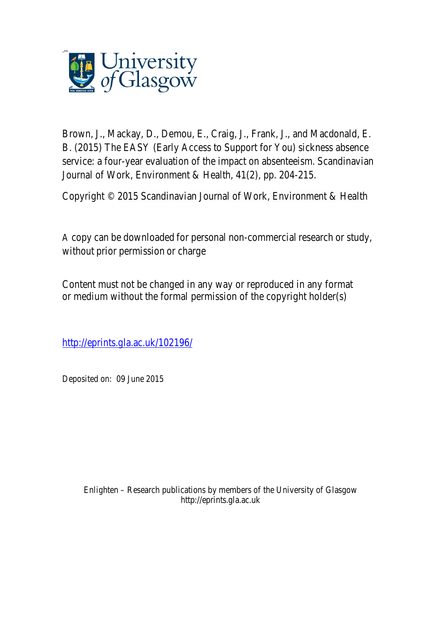

Brown, J., Mackay, D., Demou, E., Craig, J., Frank, J., and Macdonald, E. B. (2015) The EASY (Early Access to Support for You) sickness absence service: a four-year evaluation of the impact on absenteeism. Scandinavian Journal of Work, Environment & Health, 41(2), pp. 204-215.

Copyright © 2015 Scandinavian Journal of Work, Environment & Health

A copy can be downloaded for personal non-commercial research or study, without prior permission or charge

Content must not be changed in any way or reproduced in any format or medium without the formal permission of the copyright holder(s)

http://eprints.gla.ac.uk/102196/

Deposited on: 09 June 2015

Enlighten – Research publications by members of the University of Glasgow http://eprints.gla.ac.uk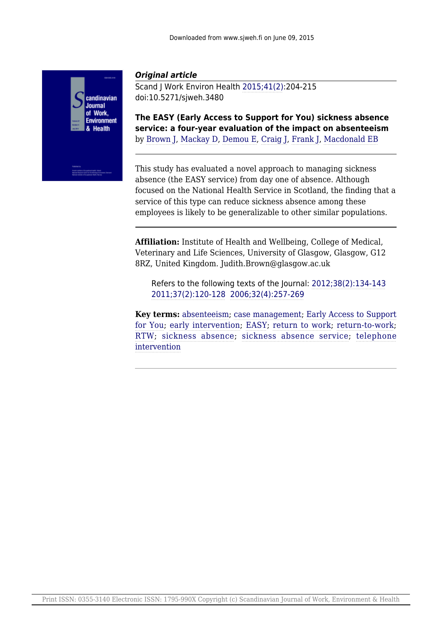

# *Original article*

Scand J Work Environ Health [2015;41\(2\):](http://www.sjweh.fi/show_issue.php?issue_id=310)204-215 doi:10.5271/sjweh.3480

**The EASY (Early Access to Support for You) sickness absence service: a four-year evaluation of the impact on absenteeism** by [Brown J](http://www.sjweh.fi/show_abstract.php?author_id=7821), [Mackay D,](http://www.sjweh.fi/show_abstract.php?author_id=7822) [Demou E,](http://www.sjweh.fi/show_abstract.php?author_id=7823) [Craig J,](http://www.sjweh.fi/show_abstract.php?author_id=7824) [Frank J](http://www.sjweh.fi/show_abstract.php?author_id=1311), [Macdonald EB](http://www.sjweh.fi/show_abstract.php?author_id=7825)

This study has evaluated a novel approach to managing sickness absence (the EASY service) from day one of absence. Although focused on the National Health Service in Scotland, the finding that a service of this type can reduce sickness absence among these employees is likely to be generalizable to other similar populations.

**Affiliation:** Institute of Health and Wellbeing, College of Medical, Veterinary and Life Sciences, University of Glasgow, Glasgow, G12 8RZ, United Kingdom. Judith.Brown@glasgow.ac.uk

Refers to the following texts of the Journal: [2012;38\(2\):134-143](http://www.sjweh.fi/show_abstract.php?abstract_id=3258) [2011;37\(2\):120-128](http://www.sjweh.fi/show_abstract.php?abstract_id=3141) [2006;32\(4\):257-269](http://www.sjweh.fi/show_abstract.php?abstract_id=1009)

**Key terms:** [absenteeism;](http://www.sjweh.fi/show_abstract.php?keyword_id=617) [case management](http://www.sjweh.fi/show_abstract.php?keyword_id=8059); [Early Access to Support](http://www.sjweh.fi/show_abstract.php?keyword_id=8057) [for You;](http://www.sjweh.fi/show_abstract.php?keyword_id=8057) [early intervention](http://www.sjweh.fi/show_abstract.php?keyword_id=4154); [EASY;](http://www.sjweh.fi/show_abstract.php?keyword_id=8056) [return to work](http://www.sjweh.fi/show_abstract.php?keyword_id=1123); [return-to-work;](http://www.sjweh.fi/show_abstract.php?keyword_id=5137) [RTW](http://www.sjweh.fi/show_abstract.php?keyword_id=6993); [sickness absence;](http://www.sjweh.fi/show_abstract.php?keyword_id=871) [sickness absence service;](http://www.sjweh.fi/show_abstract.php?keyword_id=8058) [telephone](http://www.sjweh.fi/show_abstract.php?keyword_id=8060) [intervention](http://www.sjweh.fi/show_abstract.php?keyword_id=8060)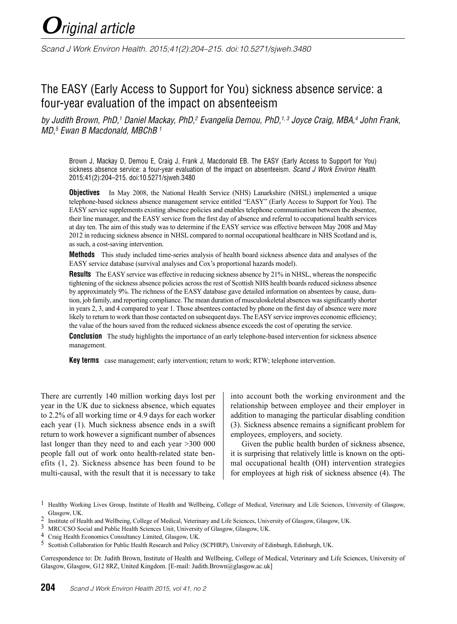*Scand J Work Environ Health. 2015;41(2):204–215. doi:10.5271/sjweh.3480*

# The EASY (Early Access to Support for You) sickness absence service: a four-year evaluation of the impact on absenteeism

*by Judith Brown, PhD,1 Daniel Mackay, PhD,2 Evangelia Demou, PhD,1, 3 Joyce Craig, MBA,4 John Frank, MD,5 Ewan B Macdonald, MBChB 1*

Brown J, Mackay D, Demou E, Craig J, Frank J, Macdonald EB. The EASY (Early Access to Support for You) sickness absence service: a four-year evaluation of the impact on absenteeism. *Scand J Work Environ Health*. 2015;41(2):204–215. doi:10.5271/sjweh.3480

**Objectives** In May 2008, the National Health Service (NHS) Lanarkshire (NHSL) implemented a unique telephone-based sickness absence management service entitled "EASY" (Early Access to Support for You). The EASY service supplements existing absence policies and enables telephone communication between the absentee, their line manager, and the EASY service from the first day of absence and referral to occupational health services at day ten. The aim of this study was to determine if the EASY service was effective between May 2008 and May 2012 in reducing sickness absence in NHSL compared to normal occupational healthcare in NHS Scotland and is, as such, a cost-saving intervention.

**Methods** This study included time-series analysis of health board sickness absence data and analyses of the EASY service database (survival analyses and Cox's proportional hazards model).

**Results** The EASY service was effective in reducing sickness absence by 21% in NHSL, whereas the nonspecific tightening of the sickness absence policies across the rest of Scottish NHS health boards reduced sickness absence by approximately 9%. The richness of the EASY database gave detailed information on absentees by cause, duration, job family, and reporting compliance. The mean duration of musculoskeletal absences was significantly shorter in years 2, 3, and 4 compared to year 1. Those absentees contacted by phone on the first day of absence were more likely to return to work than those contacted on subsequent days. The EASY service improves economic efficiency; the value of the hours saved from the reduced sickness absence exceeds the cost of operating the service.

**Conclusion** The study highlights the importance of an early telephone-based intervention for sickness absence management.

**Key terms** case management; early intervention; return to work; RTW; telephone intervention.

There are currently 140 million working days lost per year in the UK due to sickness absence, which equates to 2.2% of all working time or 4.9 days for each worker each year (1). Much sickness absence ends in a swift return to work however a significant number of absences last longer than they need to and each year >300 000 people fall out of work onto health-related state benefits (1, 2). Sickness absence has been found to be multi-causal, with the result that it is necessary to take

into account both the working environment and the relationship between employee and their employer in addition to managing the particular disabling condition (3). Sickness absence remains a significant problem for employees, employers, and society.

Given the public health burden of sickness absence, it is surprising that relatively little is known on the optimal occupational health (OH) intervention strategies for employees at high risk of sickness absence (4). The

Correspondence to: Dr. Judith Brown, Institute of Health and Wellbeing, College of Medical, Veterinary and Life Sciences, University of Glasgow, Glasgow, G12 8RZ, United Kingdom. [E-mail: Judith.Brown@glasgow.ac.uk]

<sup>&</sup>lt;sup>1</sup> Healthy Working Lives Group, Institute of Health and Wellbeing, College of Medical, Veterinary and Life Sciences, University of Glasgow, Glasgow, UK.

<sup>2</sup> Institute of Health and Wellbeing, College of Medical, Veterinary and Life Sciences, University of Glasgow, Glasgow, UK.

<sup>3</sup> MRC/CSO Social and Public Health Sciences Unit, University of Glasgow, Glasgow, UK.

<sup>4</sup> Craig Health Economics Consultancy Limited, Glasgow, UK.

<sup>5</sup> Scottish Collaboration for Public Health Research and Policy (SCPHRP), University of Edinburgh, Edinburgh, UK.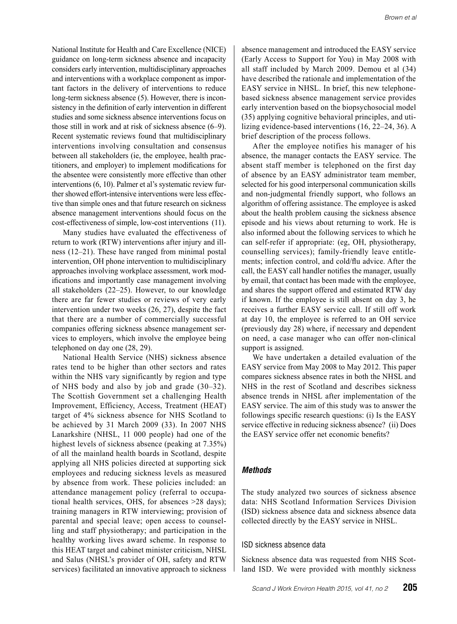National Institute for Health and Care Excellence (NICE) guidance on long-term sickness absence and incapacity considers early intervention, multidisciplinary approaches and interventions with a workplace component as important factors in the delivery of interventions to reduce long-term sickness absence (5). However, there is inconsistency in the definition of early intervention in different studies and some sickness absence interventions focus on those still in work and at risk of sickness absence (6–9). Recent systematic reviews found that multidisciplinary interventions involving consultation and consensus between all stakeholders (ie, the employee, health practitioners, and employer) to implement modifications for the absentee were consistently more effective than other interventions (6, 10). Palmer et al's systematic review further showed effort-intensive interventions were less effective than simple ones and that future research on sickness absence management interventions should focus on the cost-effectiveness of simple, low-cost interventions (11).

Many studies have evaluated the effectiveness of return to work (RTW) interventions after injury and illness (12–21). These have ranged from minimal postal intervention, OH phone intervention to multidisciplinary approaches involving workplace assessment, work modifications and importantly case management involving all stakeholders (22–25). However, to our knowledge there are far fewer studies or reviews of very early intervention under two weeks (26, 27), despite the fact that there are a number of commercially successful companies offering sickness absence management services to employers, which involve the employee being telephoned on day one (28, 29).

National Health Service (NHS) sickness absence rates tend to be higher than other sectors and rates within the NHS vary significantly by region and type of NHS body and also by job and grade (30–32). The Scottish Government set a challenging Health Improvement, Efficiency, Access, Treatment (HEAT) target of 4% sickness absence for NHS Scotland to be achieved by 31 March 2009 (33). In 2007 NHS Lanarkshire (NHSL, 11 000 people) had one of the highest levels of sickness absence (peaking at 7.35%) of all the mainland health boards in Scotland, despite applying all NHS policies directed at supporting sick employees and reducing sickness levels as measured by absence from work. These policies included: an attendance management policy (referral to occupational health services, OHS, for absences >28 days); training managers in RTW interviewing; provision of parental and special leave; open access to counselling and staff physiotherapy; and participation in the healthy working lives award scheme. In response to this HEAT target and cabinet minister criticism, NHSL and Salus (NHSL's provider of OH, safety and RTW services) facilitated an innovative approach to sickness

land ISD. We were provided with monthly sickness

absence management and introduced the EASY service (Early Access to Support for You) in May 2008 with all staff included by March 2009. Demou et al (34) have described the rationale and implementation of the EASY service in NHSL. In brief, this new telephonebased sickness absence management service provides early intervention based on the biopsychosocial model (35) applying cognitive behavioral principles, and utilizing evidence-based interventions (16, 22–24, 36). A brief description of the process follows.

After the employee notifies his manager of his absence, the manager contacts the EASY service. The absent staff member is telephoned on the first day of absence by an EASY administrator team member, selected for his good interpersonal communication skills and non-judgmental friendly support, who follows an algorithm of offering assistance. The employee is asked about the health problem causing the sickness absence episode and his views about returning to work. He is also informed about the following services to which he can self-refer if appropriate: (eg, OH, physiotherapy, counselling services); family-friendly leave entitlements; infection control, and cold/flu advice. After the call, the EASY call handler notifies the manager, usually by email, that contact has been made with the employee, and shares the support offered and estimated RTW day if known. If the employee is still absent on day 3, he receives a further EASY service call. If still off work at day 10, the employee is referred to an OH service (previously day 28) where, if necessary and dependent on need, a case manager who can offer non-clinical support is assigned.

We have undertaken a detailed evaluation of the EASY service from May 2008 to May 2012. This paper compares sickness absence rates in both the NHSL and NHS in the rest of Scotland and describes sickness absence trends in NHSL after implementation of the EASY service. The aim of this study was to answer the followings specific research questions: (i) Is the EASY service effective in reducing sickness absence? (ii) Does the EASY service offer net economic benefits?

# *Methods*

The study analyzed two sources of sickness absence data: NHS Scotland Information Services Division (ISD) sickness absence data and sickness absence data collected directly by the EASY service in NHSL.

Sickness absence data was requested from NHS Scot-

#### ISD sickness absence data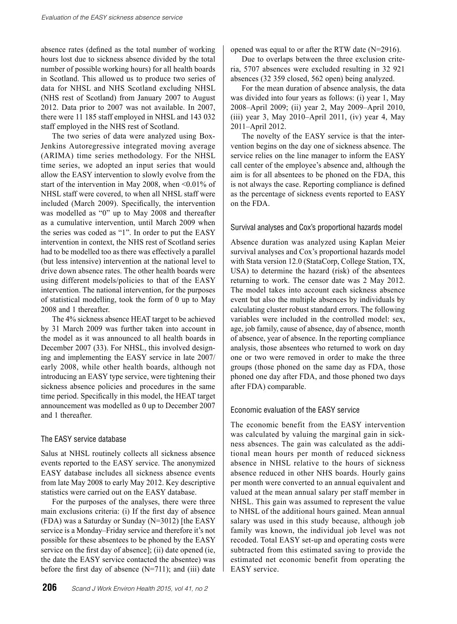absence rates (defined as the total number of working hours lost due to sickness absence divided by the total number of possible working hours) for all health boards in Scotland. This allowed us to produce two series of data for NHSL and NHS Scotland excluding NHSL (NHS rest of Scotland) from January 2007 to August 2012. Data prior to 2007 was not available. In 2007, there were 11 185 staff employed in NHSL and 143 032 staff employed in the NHS rest of Scotland.

The two series of data were analyzed using Box-Jenkins Autoregressive integrated moving average (ARIMA) time series methodology. For the NHSL time series, we adopted an input series that would allow the EASY intervention to slowly evolve from the start of the intervention in May 2008, when <0.01% of NHSL staff were covered, to when all NHSL staff were included (March 2009). Specifically, the intervention was modelled as "0" up to May 2008 and thereafter as a cumulative intervention, until March 2009 when the series was coded as "1". In order to put the EASY intervention in context, the NHS rest of Scotland series had to be modelled too as there was effectively a parallel (but less intensive) intervention at the national level to drive down absence rates. The other health boards were using different models/policies to that of the EASY intervention. The national intervention, for the purposes of statistical modelling, took the form of 0 up to May 2008 and 1 thereafter.

The 4% sickness absence HEAT target to be achieved by 31 March 2009 was further taken into account in the model as it was announced to all health boards in December 2007 (33). For NHSL, this involved designing and implementing the EASY service in late 2007/ early 2008, while other health boards, although not introducing an EASY type service, were tightening their sickness absence policies and procedures in the same time period. Specifically in this model, the HEAT target announcement was modelled as 0 up to December 2007 and 1 thereafter.

# The EASY service database

Salus at NHSL routinely collects all sickness absence events reported to the EASY service. The anonymized EASY database includes all sickness absence events from late May 2008 to early May 2012. Key descriptive statistics were carried out on the EASY database.

For the purposes of the analyses, there were three main exclusions criteria: (i) If the first day of absence (FDA) was a Saturday or Sunday (N=3012) [the EASY service is a Monday–Friday service and therefore it's not possible for these absentees to be phoned by the EASY service on the first day of absence]; (ii) date opened (ie, the date the EASY service contacted the absentee) was before the first day of absence  $(N=711)$ ; and (iii) date opened was equal to or after the RTW date (N=2916).

Due to overlaps between the three exclusion criteria, 5707 absences were excluded resulting in 32 921 absences (32 359 closed, 562 open) being analyzed.

For the mean duration of absence analysis, the data was divided into four years as follows: (i) year 1, May 2008–April 2009; (ii) year 2, May 2009–April 2010, (iii) year 3, May 2010–April 2011, (iv) year 4, May 2011–April 2012.

The novelty of the EASY service is that the intervention begins on the day one of sickness absence. The service relies on the line manager to inform the EASY call center of the employee's absence and, although the aim is for all absentees to be phoned on the FDA, this is not always the case. Reporting compliance is defined as the percentage of sickness events reported to EASY on the FDA.

#### Survival analyses and Cox's proportional hazards model

Absence duration was analyzed using Kaplan Meier survival analyses and Cox's proportional hazards model with Stata version 12.0 (StataCorp, College Station, TX, USA) to determine the hazard (risk) of the absentees returning to work. The censor date was 2 May 2012. The model takes into account each sickness absence event but also the multiple absences by individuals by calculating cluster robust standard errors. The following variables were included in the controlled model: sex, age, job family, cause of absence, day of absence, month of absence, year of absence. In the reporting compliance analysis, those absentees who returned to work on day one or two were removed in order to make the three groups (those phoned on the same day as FDA, those phoned one day after FDA, and those phoned two days after FDA) comparable.

#### Economic evaluation of the EASY service

The economic benefit from the EASY intervention was calculated by valuing the marginal gain in sickness absences. The gain was calculated as the additional mean hours per month of reduced sickness absence in NHSL relative to the hours of sickness absence reduced in other NHS boards. Hourly gains per month were converted to an annual equivalent and valued at the mean annual salary per staff member in NHSL. This gain was assumed to represent the value to NHSL of the additional hours gained. Mean annual salary was used in this study because, although job family was known, the individual job level was not recoded. Total EASY set-up and operating costs were subtracted from this estimated saving to provide the estimated net economic benefit from operating the EASY service.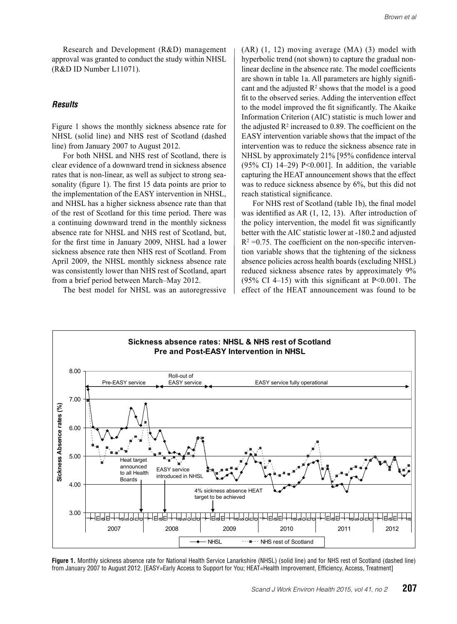Research and Development (R&D) management approval was granted to conduct the study within NHSL (R&D ID Number L11071).

#### *Results*

Figure 1 shows the monthly sickness absence rate for NHSL (solid line) and NHS rest of Scotland (dashed line) from January 2007 to August 2012.

For both NHSL and NHS rest of Scotland, there is clear evidence of a downward trend in sickness absence rates that is non-linear, as well as subject to strong seasonality (figure 1). The first 15 data points are prior to the implementation of the EASY intervention in NHSL, and NHSL has a higher sickness absence rate than that of the rest of Scotland for this time period. There was a continuing downward trend in the monthly sickness absence rate for NHSL and NHS rest of Scotland, but, for the first time in January 2009, NHSL had a lower sickness absence rate then NHS rest of Scotland. From April 2009, the NHSL monthly sickness absence rate was consistently lower than NHS rest of Scotland, apart from a brief period between March–May 2012.

The best model for NHSL was an autoregressive

(AR) (1, 12) moving average (MA) (3) model with hyperbolic trend (not shown) to capture the gradual nonlinear decline in the absence rate. The model coefficients are shown in table 1a. All parameters are highly significant and the adjusted  $R<sup>2</sup>$  shows that the model is a good fit to the observed series. Adding the intervention effect to the model improved the fit significantly. The Akaike Information Criterion (AIC) statistic is much lower and the adjusted  $\mathbb{R}^2$  increased to 0.89. The coefficient on the EASY intervention variable shows that the impact of the intervention was to reduce the sickness absence rate in NHSL by approximately 21% [95% confidence interval (95% CI)  $14-29$ ) P<0.001]. In addition, the variable capturing the HEAT announcement shows that the effect was to reduce sickness absence by 6%, but this did not reach statistical significance.

For NHS rest of Scotland (table 1b), the final model was identified as AR (1, 12, 13). After introduction of the policy intervention, the model fit was significantly better with the AIC statistic lower at -180.2 and adjusted  $R^2 = 0.75$ . The coefficient on the non-specific intervention variable shows that the tightening of the sickness absence policies across health boards (excluding NHSL) reduced sickness absence rates by approximately 9%  $(95\% \text{ CI } 4-15)$  with this significant at P<0.001. The effect of the HEAT announcement was found to be



Figure 1. Monthly sickness absence rate for National Health Service Lanarkshire (NHSL) (solid line) and for NHS rest of Scotland (dashed line) from January 2007 to August 2012. [EASY=Early Access to Support for You; HEAT=Health Improvement, Efficiency, Access, Treatment]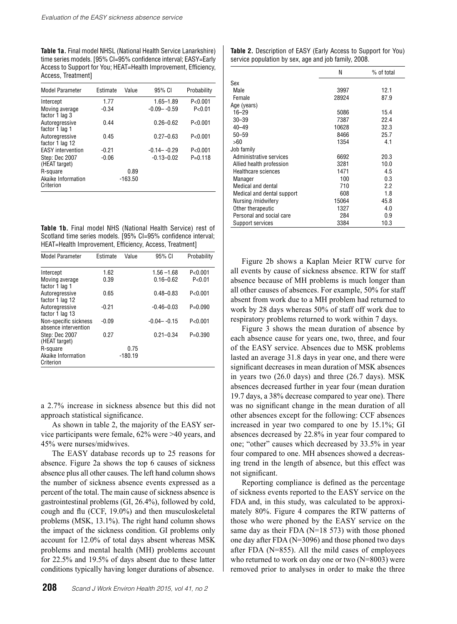**Table 1a.** Final model NHSL (National Health Service Lanarkshire) time series models. [95% CI=95% confidence interval; EASY=Early Access to Support for You; HEAT=Health Improvement, Efficiency, Access, Treatment]

| <b>Model Parameter</b>            | Estimate | Value     | 95% CI          | Probability |
|-----------------------------------|----------|-----------|-----------------|-------------|
| Intercept                         | 1.77     |           | $1.65 - 1.89$   | P < 0.001   |
| Moving average<br>factor 1 lag 3  | $-0.34$  |           | $-0.09 - -0.59$ | P < 0.01    |
| Autorearessive<br>factor 1 lag 1  | 0.44     |           | $0.26 - 0.62$   | P < 0.001   |
| Autoregressive<br>factor 1 lag 12 | 0.45     |           | $0.27 - 0.63$   | P < 0.001   |
| <b>EASY</b> intervention          | $-0.21$  |           | $-0.14 - -0.29$ | P < 0.001   |
| Step: Dec 2007<br>(HEAT target)   | $-0.06$  |           | $-0.13 - 0.02$  | $P = 0.118$ |
| R-square                          |          | 0.89      |                 |             |
| Akaike Information<br>Criterion   |          | $-163.50$ |                 |             |

**Table 1b.** Final model NHS (National Health Service) rest of Scotland time series models. [95% CI=95% confidence interval; HEAT=Health Improvement, Efficiency, Access, Treatment]

| <b>Model Parameter</b>                        | Estimate | Value     | 95% CI          | Probability |
|-----------------------------------------------|----------|-----------|-----------------|-------------|
| Intercept                                     | 1.62     |           | $1.56 - 1.68$   | P < 0.001   |
| Moving average<br>factor 1 lag 1              | 0.39     |           | $0.16 - 0.62$   | P<0.01      |
| Autoregressive<br>factor 1 lag 12             | 0.65     |           | $0.48 - 0.83$   | P < 0.001   |
| Autoregressive<br>factor 1 lag 13             | $-0.21$  |           | $-0.46 - 0.03$  | $P=0.090$   |
| Non-specific sickness<br>absence intervention | $-0.09$  |           | $-0.04 - -0.15$ | P < 0.001   |
| Step: Dec 2007<br>(HEAT target)               | 0.27     |           | $0.21 - 0.34$   | $P=0.390$   |
| R-square                                      |          | 0.75      |                 |             |
| Akaike Information<br>Criterion               |          | $-180.19$ |                 |             |

a 2.7% increase in sickness absence but this did not approach statistical significance.

As shown in table 2, the majority of the EASY service participants were female, 62% were >40 years, and 45% were nurses/midwives.

The EASY database records up to 25 reasons for absence. Figure 2a shows the top 6 causes of sickness absence plus all other causes. The left hand column shows the number of sickness absence events expressed as a percent of the total. The main cause of sickness absence is gastrointestinal problems (GI, 26.4%), followed by cold, cough and flu (CCF, 19.0%) and then musculoskeletal problems (MSK, 13.1%). The right hand column shows the impact of the sickness condition. GI problems only account for 12.0% of total days absent whereas MSK problems and mental health (MH) problems account for 22.5% and 19.5% of days absent due to these latter conditions typically having longer durations of absence.

| <b>Table 2.</b> Description of EASY (Early Access to Support for You) |  |
|-----------------------------------------------------------------------|--|
| service population by sex, age and job family, 2008.                  |  |

|                            | N     | % of total |
|----------------------------|-------|------------|
| Sex                        |       |            |
| Male                       | 3997  | 12.1       |
| Female                     | 28924 | 87.9       |
| Age (years)                |       |            |
| $16 - 29$                  | 5086  | 15.4       |
| $30 - 39$                  | 7387  | 22.4       |
| $40 - 49$                  | 10628 | 32.3       |
| $50 - 59$                  | 8466  | 25.7       |
| >60                        | 1354  | 4.1        |
| Job family                 |       |            |
| Administrative services    | 6692  | 20.3       |
| Allied health profession   | 3281  | 10.0       |
| <b>Healthcare sciences</b> | 1471  | 4.5        |
| Manager                    | 100   | 0.3        |
| Medical and dental         | 710   | 2.2        |
| Medical and dental support | 608   | 1.8        |
| Nursing/midwifery          | 15064 | 45.8       |
| Other therapeutic          | 1327  | 4.0        |
| Personal and social care   | 284   | 0.9        |
| Support services           | 3384  | 10.3       |

Figure 2b shows a Kaplan Meier RTW curve for all events by cause of sickness absence. RTW for staff absence because of MH problems is much longer than all other causes of absences. For example, 50% for staff absent from work due to a MH problem had returned to work by 28 days whereas 50% of staff off work due to respiratory problems returned to work within 7 days.

Figure 3 shows the mean duration of absence by each absence cause for years one, two, three, and four of the EASY service. Absences due to MSK problems lasted an average 31.8 days in year one, and there were significant decreases in mean duration of MSK absences in years two (26.0 days) and three (26.7 days). MSK absences decreased further in year four (mean duration 19.7 days, a 38% decrease compared to year one). There was no significant change in the mean duration of all other absences except for the following: CCF absences increased in year two compared to one by 15.1%; GI absences decreased by 22.8% in year four compared to one; "other" causes which decreased by 33.5% in year four compared to one. MH absences showed a decreasing trend in the length of absence, but this effect was not significant.

Reporting compliance is defined as the percentage of sickness events reported to the EASY service on the FDA and, in this study, was calculated to be approximately 80%. Figure 4 compares the RTW patterns of those who were phoned by the EASY service on the same day as their FDA (N=18 573) with those phoned one day after FDA (N=3096) and those phoned two days after FDA (N=855). All the mild cases of employees who returned to work on day one or two (N=8003) were removed prior to analyses in order to make the three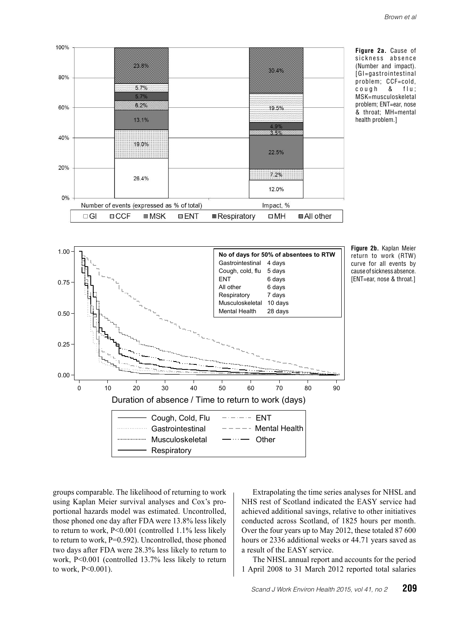







groups comparable. The likelihood of returning to work using Kaplan Meier survival analyses and Cox's proportional hazards model was estimated. Uncontrolled, those phoned one day after FDA were 13.8% less likely to return to work, P<0.001 (controlled 1.1% less likely to return to work, P=0.592). Uncontrolled, those phoned two days after FDA were 28.3% less likely to return to work, P<0.001 (controlled 13.7% less likely to return to work, P<0.001).

Extrapolating the time series analyses for NHSL and NHS rest of Scotland indicated the EASY service had achieved additional savings, relative to other initiatives conducted across Scotland, of 1825 hours per month. Over the four years up to May 2012, these totaled 87 600 hours or 2336 additional weeks or 44.71 years saved as a result of the EASY service.

The NHSL annual report and accounts for the period 1 April 2008 to 31 March 2012 reported total salaries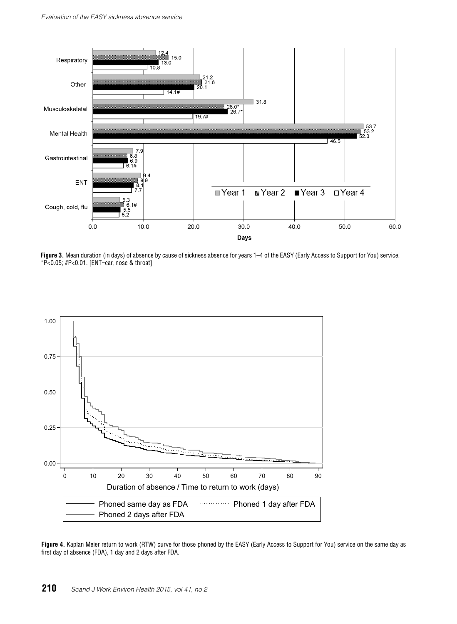

**Figure 3.** Mean duration (in days) of absence by cause of sickness absence for years 1–4 of the EASY (Early Access to Support for You) service. \*P<0.05; #P<0.01. [ENT=ear, nose & throat]



**Figure 4.** Kaplan Meier return to work (RTW) curve for those phoned by the EASY (Early Access to Support for You) service on the same day as first day of absence (FDA), 1 day and 2 days after FDA.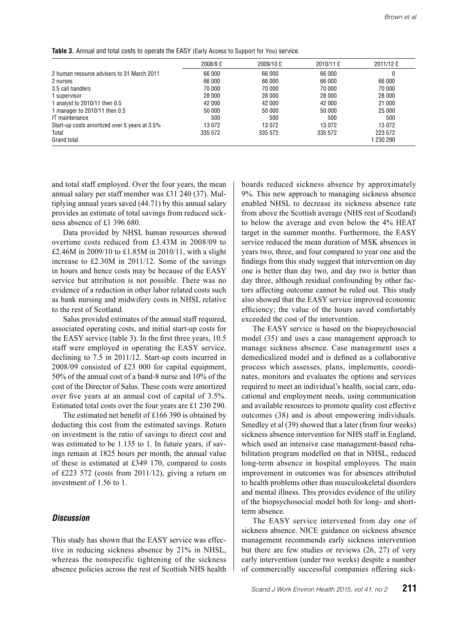**Table 3.** Annual and total costs to operate the EASY (Early Access to Support for You) service.

|                                               | 2008/9 £ | 2009/10 £ | 2010/11 £ | 2011/12E  |
|-----------------------------------------------|----------|-----------|-----------|-----------|
| 2 human resource advisers to 31 March 2011    | 66 000   | 66 000    | 66 000    |           |
| 2 nurses                                      | 66 000   | 66 000    | 66 000    | 66 000    |
| 3.5 call handlers                             | 70 000   | 70 000    | 70 000    | 70 000    |
| 1 supervisor                                  | 28 000   | 28 000    | 28 000    | 28 000    |
| 1 analyst to 2010/11 then 0.5                 | 42 000   | 42 000    | 42 000    | 21 000    |
| 1 manager to 2010/11 then 0.5                 | 50 000   | 50 000    | 50 000    | 25 000    |
| IT maintenance                                | 500      | 500       | 500       | 500       |
| Start-up costs amortized over 5 years at 3.5% | 13 072   | 13 072    | 13 072    | 13072     |
| Total                                         | 335 572  | 335 572   | 335 572   | 223 572   |
| Grand total                                   |          |           |           | 1 230 290 |

and total staff employed. Over the four years, the mean annual salary per staff member was £31 240 (37). Multiplying annual years saved (44.71) by this annual salary provides an estimate of total savings from reduced sickness absence of £1 396 680.

Data provided by NHSL human resources showed overtime costs reduced from £3.43M in 2008/09 to £2.46M in 2009/10 to £1.85M in 2010/11, with a slight increase to £2.30M in 2011/12. Some of the savings in hours and hence costs may be because of the EASY service but attribution is not possible. There was no evidence of a reduction in other labor related costs such as bank nursing and midwifery costs in NHSL relative to the rest of Scotland.

Salus provided estimates of the annual staff required, associated operating costs, and initial start-up costs for the EASY service (table 3). In the first three years, 10.5 staff were employed in operating the EASY service, declining to 7.5 in 2011/12. Start-up costs incurred in 2008/09 consisted of £23 000 for capital equipment, 50% of the annual cost of a band-8 nurse and 10% of the cost of the Director of Salus. These costs were amortized over five years at an annual cost of capital of 3.5%. Estimated total costs over the four years are £1 230 290.

The estimated net benefit of £166 390 is obtained by deducting this cost from the estimated savings. Return on investment is the ratio of savings to direct cost and was estimated to be 1.135 to 1. In future years, if savings remain at 1825 hours per month, the annual value of these is estimated at £349 170, compared to costs of £223 572 (costs from 2011/12), giving a return on investment of 1.56 to 1.

#### *Discussion*

This study has shown that the EASY service was effective in reducing sickness absence by 21% in NHSL, whereas the nonspecific tightening of the sickness absence policies across the rest of Scottish NHS health boards reduced sickness absence by approximately 9%. This new approach to managing sickness absence enabled NHSL to decrease its sickness absence rate from above the Scottish average (NHS rest of Scotland) to below the average and even below the 4% HEAT target in the summer months. Furthermore, the EASY service reduced the mean duration of MSK absences in years two, three, and four compared to year one and the findings from this study suggest that intervention on day one is better than day two, and day two is better than day three, although residual confounding by other factors affecting outcome cannot be ruled out. This study also showed that the EASY service improved economic efficiency; the value of the hours saved comfortably exceeded the cost of the intervention.

The EASY service is based on the biopsychosocial model (35) and uses a case management approach to manage sickness absence. Case management uses a demedicalized model and is defined as a collaborative process which assesses, plans, implements, coordinates, monitors and evaluates the options and services required to meet an individual's health, social care, educational and employment needs, using communication and available resources to promote quality cost effective outcomes (38) and is about empowering individuals. Smedley et al (39) showed that a later (from four weeks) sickness absence intervention for NHS staff in England, which used an intensive case management-based rehabilitation program modelled on that in NHSL, reduced long-term absence in hospital employees. The main improvement in outcomes was for absences attributed to health problems other than musculoskeletal disorders and mental illness. This provides evidence of the utility of the biopsychosocial model both for long- and shortterm absence.

The EASY service intervened from day one of sickness absence. NICE guidance on sickness absence management recommends early sickness intervention but there are few studies or reviews (26, 27) of very early intervention (under two weeks) despite a number of commercially successful companies offering sick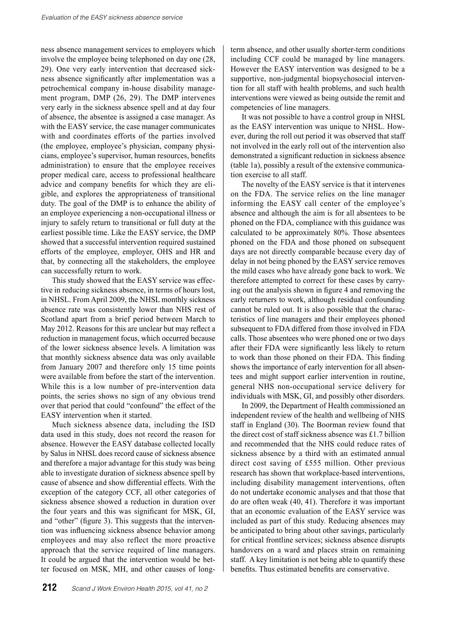ness absence management services to employers which involve the employee being telephoned on day one (28, 29). One very early intervention that decreased sickness absence significantly after implementation was a petrochemical company in-house disability management program, DMP (26, 29). The DMP intervenes very early in the sickness absence spell and at day four of absence, the absentee is assigned a case manager. As with the EASY service, the case manager communicates with and coordinates efforts of the parties involved (the employee, employee's physician, company physicians, employee's supervisor, human resources, benefits administration) to ensure that the employee receives proper medical care, access to professional healthcare advice and company benefits for which they are eligible, and explores the appropriateness of transitional duty. The goal of the DMP is to enhance the ability of an employee experiencing a non-occupational illness or injury to safely return to transitional or full duty at the earliest possible time. Like the EASY service, the DMP showed that a successful intervention required sustained efforts of the employee, employer, OHS and HR and that, by connecting all the stakeholders, the employee can successfully return to work.

This study showed that the EASY service was effective in reducing sickness absence, in terms of hours lost, in NHSL. From April 2009, the NHSL monthly sickness absence rate was consistently lower than NHS rest of Scotland apart from a brief period between March to May 2012. Reasons for this are unclear but may reflect a reduction in management focus, which occurred because of the lower sickness absence levels. A limitation was that monthly sickness absence data was only available from January 2007 and therefore only 15 time points were available from before the start of the intervention. While this is a low number of pre-intervention data points, the series shows no sign of any obvious trend over that period that could "confound" the effect of the EASY intervention when it started.

Much sickness absence data, including the ISD data used in this study, does not record the reason for absence. However the EASY database collected locally by Salus in NHSL does record cause of sickness absence and therefore a major advantage for this study was being able to investigate duration of sickness absence spell by cause of absence and show differential effects. With the exception of the category CCF, all other categories of sickness absence showed a reduction in duration over the four years and this was significant for MSK, GI, and "other" (figure 3). This suggests that the intervention was influencing sickness absence behavior among employees and may also reflect the more proactive approach that the service required of line managers. It could be argued that the intervention would be better focused on MSK, MH, and other causes of longterm absence, and other usually shorter-term conditions including CCF could be managed by line managers. However the EASY intervention was designed to be a supportive, non-judgmental biopsychosocial intervention for all staff with health problems, and such health interventions were viewed as being outside the remit and competencies of line managers.

It was not possible to have a control group in NHSL as the EASY intervention was unique to NHSL. However, during the roll out period it was observed that staff not involved in the early roll out of the intervention also demonstrated a significant reduction in sickness absence (table 1a), possibly a result of the extensive communication exercise to all staff.

The novelty of the EASY service is that it intervenes on the FDA. The service relies on the line manager informing the EASY call center of the employee's absence and although the aim is for all absentees to be phoned on the FDA, compliance with this guidance was calculated to be approximately 80%. Those absentees phoned on the FDA and those phoned on subsequent days are not directly comparable because every day of delay in not being phoned by the EASY service removes the mild cases who have already gone back to work. We therefore attempted to correct for these cases by carrying out the analysis shown in figure 4 and removing the early returners to work, although residual confounding cannot be ruled out. It is also possible that the characteristics of line managers and their employees phoned subsequent to FDA differed from those involved in FDA calls. Those absentees who were phoned one or two days after their FDA were significantly less likely to return to work than those phoned on their FDA. This finding shows the importance of early intervention for all absentees and might support earlier intervention in routine, general NHS non-occupational service delivery for individuals with MSK, GI, and possibly other disorders.

In 2009, the Department of Health commissioned an independent review of the health and wellbeing of NHS staff in England (30). The Boorman review found that the direct cost of staff sickness absence was £1.7 billion and recommended that the NHS could reduce rates of sickness absence by a third with an estimated annual direct cost saving of £555 million. Other previous research has shown that workplace-based interventions, including disability management interventions, often do not undertake economic analyses and that those that do are often weak (40, 41). Therefore it was important that an economic evaluation of the EASY service was included as part of this study. Reducing absences may be anticipated to bring about other savings, particularly for critical frontline services; sickness absence disrupts handovers on a ward and places strain on remaining staff. A key limitation is not being able to quantify these benefits. Thus estimated benefits are conservative.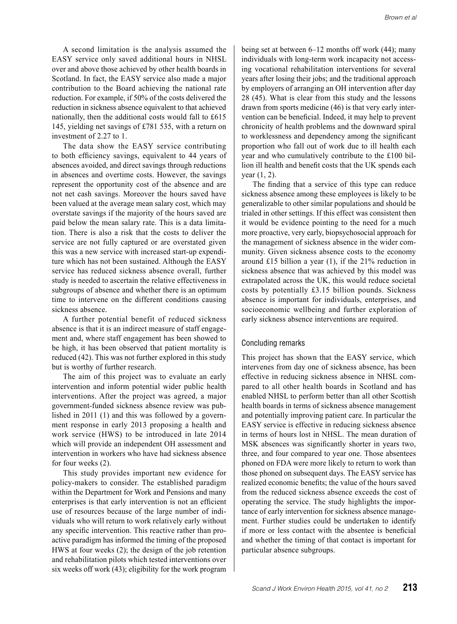A second limitation is the analysis assumed the EASY service only saved additional hours in NHSL over and above those achieved by other health boards in Scotland. In fact, the EASY service also made a major contribution to the Board achieving the national rate reduction. For example, if 50% of the costs delivered the reduction in sickness absence equivalent to that achieved nationally, then the additional costs would fall to £615 145, yielding net savings of £781 535, with a return on investment of 2.27 to 1.

The data show the EASY service contributing to both efficiency savings, equivalent to 44 years of absences avoided, and direct savings through reductions in absences and overtime costs. However, the savings represent the opportunity cost of the absence and are not net cash savings. Moreover the hours saved have been valued at the average mean salary cost, which may overstate savings if the majority of the hours saved are paid below the mean salary rate. This is a data limitation. There is also a risk that the costs to deliver the service are not fully captured or are overstated given this was a new service with increased start-up expenditure which has not been sustained. Although the EASY service has reduced sickness absence overall, further study is needed to ascertain the relative effectiveness in subgroups of absence and whether there is an optimum time to intervene on the different conditions causing sickness absence.

A further potential benefit of reduced sickness absence is that it is an indirect measure of staff engagement and, where staff engagement has been showed to be high, it has been observed that patient mortality is reduced (42). This was not further explored in this study but is worthy of further research.

The aim of this project was to evaluate an early intervention and inform potential wider public health interventions. After the project was agreed, a major government-funded sickness absence review was published in 2011 (1) and this was followed by a government response in early 2013 proposing a health and work service (HWS) to be introduced in late 2014 which will provide an independent OH assessment and intervention in workers who have had sickness absence for four weeks (2).

This study provides important new evidence for policy-makers to consider. The established paradigm within the Department for Work and Pensions and many enterprises is that early intervention is not an efficient use of resources because of the large number of individuals who will return to work relatively early without any specific intervention. This reactive rather than proactive paradigm has informed the timing of the proposed HWS at four weeks (2); the design of the job retention and rehabilitation pilots which tested interventions over six weeks off work (43); eligibility for the work program being set at between 6–12 months off work (44); many individuals with long-term work incapacity not accessing vocational rehabilitation interventions for several years after losing their jobs; and the traditional approach by employers of arranging an OH intervention after day 28 (45). What is clear from this study and the lessons drawn from sports medicine (46) is that very early intervention can be beneficial. Indeed, it may help to prevent chronicity of health problems and the downward spiral to worklessness and dependency among the significant proportion who fall out of work due to ill health each year and who cumulatively contribute to the £100 billion ill health and benefit costs that the UK spends each year (1, 2).

The finding that a service of this type can reduce sickness absence among these employees is likely to be generalizable to other similar populations and should be trialed in other settings. If this effect was consistent then it would be evidence pointing to the need for a much more proactive, very early, biopsychosocial approach for the management of sickness absence in the wider community. Given sickness absence costs to the economy around £15 billion a year (1), if the 21% reduction in sickness absence that was achieved by this model was extrapolated across the UK, this would reduce societal costs by potentially £3.15 billion pounds. Sickness absence is important for individuals, enterprises, and socioeconomic wellbeing and further exploration of early sickness absence interventions are required.

#### Concluding remarks

This project has shown that the EASY service, which intervenes from day one of sickness absence, has been effective in reducing sickness absence in NHSL compared to all other health boards in Scotland and has enabled NHSL to perform better than all other Scottish health boards in terms of sickness absence management and potentially improving patient care. In particular the EASY service is effective in reducing sickness absence in terms of hours lost in NHSL. The mean duration of MSK absences was significantly shorter in years two, three, and four compared to year one. Those absentees phoned on FDA were more likely to return to work than those phoned on subsequent days. The EASY service has realized economic benefits; the value of the hours saved from the reduced sickness absence exceeds the cost of operating the service. The study highlights the importance of early intervention for sickness absence management. Further studies could be undertaken to identify if more or less contact with the absentee is beneficial and whether the timing of that contact is important for particular absence subgroups.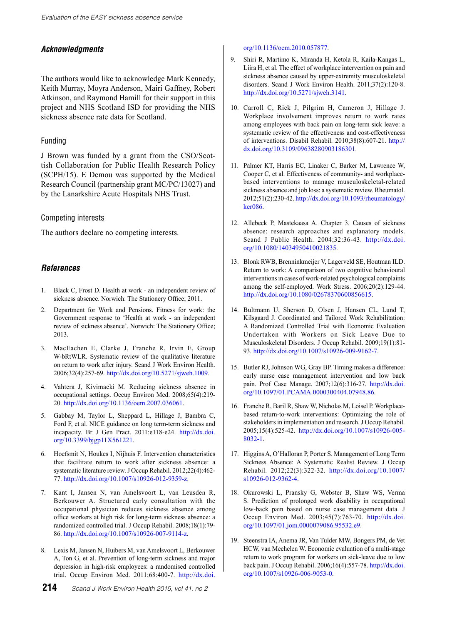# *Acknowledgments*

The authors would like to acknowledge Mark Kennedy, Keith Murray, Moyra Anderson, Mairi Gaffney, Robert Atkinson, and Raymond Hamill for their support in this project and NHS Scotland ISD for providing the NHS sickness absence rate data for Scotland.

#### Funding

J Brown was funded by a grant from the CSO/Scottish Collaboration for Public Health Research Policy (SCPH/15). E Demou was supported by the Medical Research Council (partnership grant MC/PC/13027) and by the Lanarkshire Acute Hospitals NHS Trust.

#### Competing interests

The authors declare no competing interests.

# *References*

- 1. Black C, Frost D. Health at work an independent review of sickness absence. Norwich: The Stationery Office; 2011.
- 2. Department for Work and Pensions. Fitness for work: the Government response to 'Health at work - an independent review of sickness absence'. Norwich: The Stationery Office; 2013.
- 3. MacEachen E, Clarke J, Franche R, Irvin E, Group W-bRtWLR. Systematic review of the qualitative literature on return to work after injury. Scand J Work Environ Health. 2006;32(4):257-69. <http://dx.doi.org/10.5271/sjweh.1009>.
- 4. Vahtera J, Kivimaeki M. Reducing sickness absence in occupational settings. Occup Environ Med. 2008;65(4):219- 20. <http://dx.doi.org/10.1136/oem.2007.036061>.
- 5. Gabbay M, Taylor L, Sheppard L, Hillage J, Bambra C, Ford F, et al. NICE guidance on long term-term sickness and incapacity. Br J Gen Pract. 2011:e118-e24. [http://dx.doi.](http://dx.doi.org/10.3399/bjgp11X561221) [org/10.3399/bjgp11X561221](http://dx.doi.org/10.3399/bjgp11X561221).
- 6. Hoefsmit N, Houkes I, Nijhuis F. Intervention characteristics that facilitate return to work after sickness absence: a systematic literature review. J Occup Rehabil. 2012;22(4):462- 77. <http://dx.doi.org/10.1007/s10926-012-9359-z>.
- 7. Kant I, Jansen N, van Amelsvoort L, van Leusden R, Berkouwer A. Structured early consultation with the occupational physician reduces sickness absence among office workers at high risk for long-term sickness absence: a randomized controlled trial. J Occup Rehabil. 2008;18(1):79- 86. <http://dx.doi.org/10.1007/s10926-007-9114-z>.
- 8. Lexis M, Jansen N, Huibers M, van Amelsvoort L, Berkouwer A, Ton G, et al. Prevention of long-term sickness and major depression in high-risk employees: a randomised controlled trial. Occup Environ Med. 2011;68:400-7. [http://dx.doi.](http://dx.doi.org/10.1136/oem.2010.057877)

[org/10.1136/oem.2010.057877](http://dx.doi.org/10.1136/oem.2010.057877).

- 9. Shiri R, Martimo K, Miranda H, Ketola R, Kaila-Kangas L, Liira H, et al. The effect of workplace intervention on pain and sickness absence caused by upper-extremity musculoskeletal disorders. Scand J Work Environ Health. 2011;37(2):120-8. <http://dx.doi.org/10.5271/sjweh.3141>.
- 10. Carroll C, Rick J, Pilgrim H, Cameron J, Hillage J. Workplace involvement improves return to work rates among employees with back pain on long-term sick leave: a systematic review of the effectiveness and cost-effectiveness of interventions. Disabil Rehabil. 2010;38(8):607-21. [http://](http://dx.doi.org/10.3109/09638280903186301) [dx.doi.org/10.3109/09638280903186301](http://dx.doi.org/10.3109/09638280903186301).
- 11. Palmer KT, Harris EC, Linaker C, Barker M, Lawrence W, Cooper C, et al. Effectiveness of community- and workplacebased interventions to manage musculoskeletal-related sickness absence and job loss: a systematic review. Rheumatol. 2012;51(2):230-42. [http://dx.doi.org/10.1093/rheumatology/](http://dx.doi.org/10.1093/rheumatology/ker086) [ker086](http://dx.doi.org/10.1093/rheumatology/ker086).
- 12. Allebeck P, Mastekaasa A. Chapter 3. Causes of sickness absence: research approaches and explanatory models. Scand J Public Health. 2004;32:36-43. [http://dx.doi.](http://dx.doi.org/10.1080/14034950410021835) [org/10.1080/14034950410021835](http://dx.doi.org/10.1080/14034950410021835).
- 13. Blonk RWB, Brenninkmeijer V, Lagerveld SE, Houtman ILD. Return to work: A comparison of two cognitive behavioural interventions in cases of work-related psychological complaints among the self-employed. Work Stress. 2006;20(2):129-44. <http://dx.doi.org/10.1080/02678370600856615>.
- 14. Bultmann U, Sherson D, Olsen J, Hansen CL, Lund T, Kilsgaard J. Coordinated and Tailored Work Rehabilitation: A Randomized Controlled Trial with Economic Evaluation Undertaken with Workers on Sick Leave Due to Musculoskeletal Disorders. J Occup Rehabil. 2009;19(1):81- 93. <http://dx.doi.org/10.1007/s10926-009-9162-7>.
- 15. Butler RJ, Johnson WG, Gray BP. Timing makes a difference: early nurse case management intervention and low back pain. Prof Case Manage. 2007;12(6):316-27. [http://dx.doi.](http://dx.doi.org/10.1097/01.PCAMA.0000300404.07948.86) [org/10.1097/01.PCAMA.0000300404.07948.86](http://dx.doi.org/10.1097/01.PCAMA.0000300404.07948.86).
- 16. Franche R, Baril R, Shaw W, Nicholas M, Loisel P. Workplacebased return-to-work interventions: Optimizing the role of stakeholders in implementation and research. J Occup Rehabil. 2005;15(4):525-42. [http://dx.doi.org/10.1007/s10926-005-](http://dx.doi.org/10.1007/s10926-005-8032-1) [8032-1.](http://dx.doi.org/10.1007/s10926-005-8032-1)
- 17. Higgins A, O'Halloran P, Porter S. Management of Long Term Sickness Absence: A Systematic Realist Review. J Occup Rehabil. 2012;22(3):322-32. [http://dx.doi.org/10.1007/](http://dx.doi.org/10.1007/s10926-012-9362-4) [s10926-012-9362-4.](http://dx.doi.org/10.1007/s10926-012-9362-4)
- 18. Okurowski L, Pransky G, Webster B, Shaw WS, Verma S. Prediction of prolonged work disability in occupational low-back pain based on nurse case management data. J Occup Environ Med. 2003;45(7):763-70. [http://dx.doi.](http://dx.doi.org/10.1097/01.jom.0000079086.95532.e9) [org/10.1097/01.jom.0000079086.95532.e9](http://dx.doi.org/10.1097/01.jom.0000079086.95532.e9).
- 19. Steenstra IA, Anema JR, Van Tulder MW, Bongers PM, de Vet HCW, van Mechelen W. Economic evaluation of a multi-stage return to work program for workers on sick-leave due to low back pain. J Occup Rehabil. 2006;16(4):557-78. [http://dx.doi.](http://dx.doi.org/10.1007/s10926-006-9053-0) [org/10.1007/s10926-006-9053-0](http://dx.doi.org/10.1007/s10926-006-9053-0).